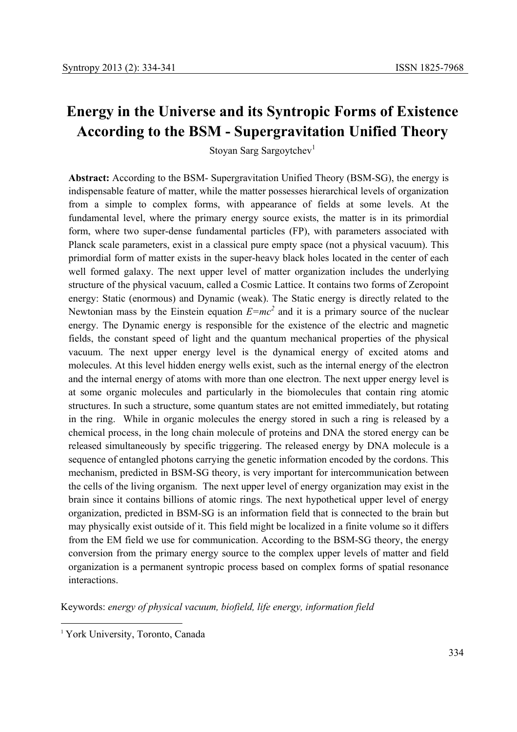## **Energy in the Universe and its Syntropic Forms of Existence According to the BSM - Supergravitation Unified Theory**

Stoyan Sarg Sargoytchev<sup>1</sup>

**Abstract:** According to the BSM- Supergravitation Unified Theory (BSM-SG), the energy is indispensable feature of matter, while the matter possesses hierarchical levels of organization from a simple to complex forms, with appearance of fields at some levels. At the fundamental level, where the primary energy source exists, the matter is in its primordial form, where two super-dense fundamental particles (FP), with parameters associated with Planck scale parameters, exist in a classical pure empty space (not a physical vacuum). This primordial form of matter exists in the super-heavy black holes located in the center of each well formed galaxy. The next upper level of matter organization includes the underlying structure of the physical vacuum, called a Cosmic Lattice. It contains two forms of Zeropoint energy: Static (enormous) and Dynamic (weak). The Static energy is directly related to the Newtonian mass by the Einstein equation  $E=mc^2$  and it is a primary source of the nuclear energy. The Dynamic energy is responsible for the existence of the electric and magnetic fields, the constant speed of light and the quantum mechanical properties of the physical vacuum. The next upper energy level is the dynamical energy of excited atoms and molecules. At this level hidden energy wells exist, such as the internal energy of the electron and the internal energy of atoms with more than one electron. The next upper energy level is at some organic molecules and particularly in the biomolecules that contain ring atomic structures. In such a structure, some quantum states are not emitted immediately, but rotating in the ring. While in organic molecules the energy stored in such a ring is released by a chemical process, in the long chain molecule of proteins and DNA the stored energy can be released simultaneously by specific triggering. The released energy by DNA molecule is a sequence of entangled photons carrying the genetic information encoded by the cordons. This mechanism, predicted in BSM-SG theory, is very important for intercommunication between the cells of the living organism. The next upper level of energy organization may exist in the brain since it contains billions of atomic rings. The next hypothetical upper level of energy organization, predicted in BSM-SG is an information field that is connected to the brain but may physically exist outside of it. This field might be localized in a finite volume so it differs from the EM field we use for communication. According to the BSM-SG theory, the energy conversion from the primary energy source to the complex upper levels of matter and field organization is a permanent syntropic process based on complex forms of spatial resonance interactions.

Keywords: *energy of physical vacuum, biofield, life energy, information field*

-

<sup>&</sup>lt;sup>1</sup> York University, Toronto, Canada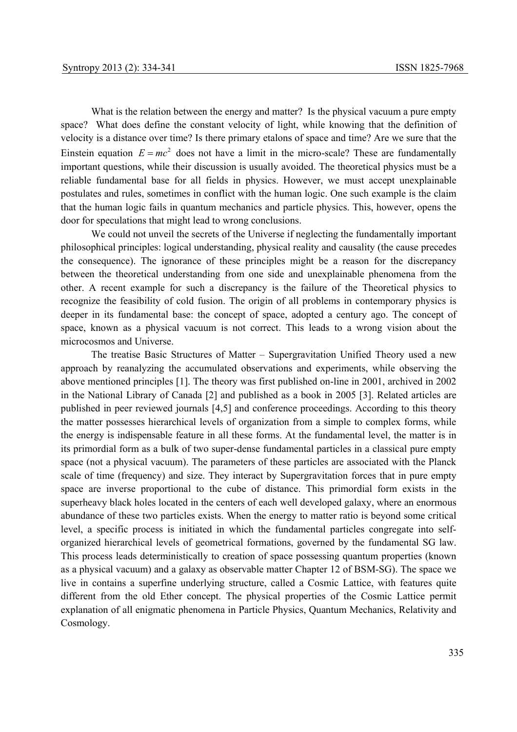What is the relation between the energy and matter? Is the physical vacuum a pure empty space? What does define the constant velocity of light, while knowing that the definition of velocity is a distance over time? Is there primary etalons of space and time? Are we sure that the Einstein equation  $E = mc^2$  does not have a limit in the micro-scale? These are fundamentally important questions, while their discussion is usually avoided. The theoretical physics must be a reliable fundamental base for all fields in physics. However, we must accept unexplainable postulates and rules, sometimes in conflict with the human logic. One such example is the claim that the human logic fails in quantum mechanics and particle physics. This, however, opens the door for speculations that might lead to wrong conclusions.

 We could not unveil the secrets of the Universe if neglecting the fundamentally important philosophical principles: logical understanding, physical reality and causality (the cause precedes the consequence). The ignorance of these principles might be a reason for the discrepancy between the theoretical understanding from one side and unexplainable phenomena from the other. A recent example for such a discrepancy is the failure of the Theoretical physics to recognize the feasibility of cold fusion. The origin of all problems in contemporary physics is deeper in its fundamental base: the concept of space, adopted a century ago. The concept of space, known as a physical vacuum is not correct. This leads to a wrong vision about the microcosmos and Universe.

The treatise Basic Structures of Matter – Supergravitation Unified Theory used a new approach by reanalyzing the accumulated observations and experiments, while observing the above mentioned principles [1]. The theory was first published on-line in 2001, archived in 2002 in the National Library of Canada [2] and published as a book in 2005 [3]. Related articles are published in peer reviewed journals [4,5] and conference proceedings. According to this theory the matter possesses hierarchical levels of organization from a simple to complex forms, while the energy is indispensable feature in all these forms. At the fundamental level, the matter is in its primordial form as a bulk of two super-dense fundamental particles in a classical pure empty space (not a physical vacuum). The parameters of these particles are associated with the Planck scale of time (frequency) and size. They interact by Supergravitation forces that in pure empty space are inverse proportional to the cube of distance. This primordial form exists in the superheavy black holes located in the centers of each well developed galaxy, where an enormous abundance of these two particles exists. When the energy to matter ratio is beyond some critical level, a specific process is initiated in which the fundamental particles congregate into selforganized hierarchical levels of geometrical formations, governed by the fundamental SG law. This process leads deterministically to creation of space possessing quantum properties (known as a physical vacuum) and a galaxy as observable matter Chapter 12 of BSM-SG). The space we live in contains a superfine underlying structure, called a Cosmic Lattice, with features quite different from the old Ether concept. The physical properties of the Cosmic Lattice permit explanation of all enigmatic phenomena in Particle Physics, Quantum Mechanics, Relativity and Cosmology.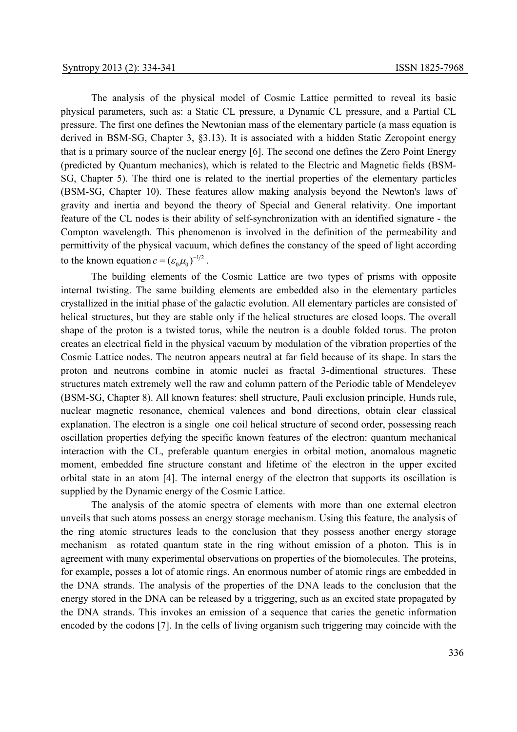The analysis of the physical model of Cosmic Lattice permitted to reveal its basic physical parameters, such as: a Static CL pressure, a Dynamic CL pressure, and a Partial CL pressure. The first one defines the Newtonian mass of the elementary particle (a mass equation is derived in BSM-SG, Chapter 3, §3.13). It is associated with a hidden Static Zeropoint energy that is a primary source of the nuclear energy [6]. The second one defines the Zero Point Energy (predicted by Quantum mechanics), which is related to the Electric and Magnetic fields (BSM-SG, Chapter 5). The third one is related to the inertial properties of the elementary particles (BSM-SG, Chapter 10). These features allow making analysis beyond the Newton's laws of gravity and inertia and beyond the theory of Special and General relativity. One important feature of the CL nodes is their ability of self-synchronization with an identified signature - the Compton wavelength. This phenomenon is involved in the definition of the permeability and permittivity of the physical vacuum, which defines the constancy of the speed of light according to the known equation  $c = (\varepsilon_0 \mu_0)^{-1/2}$ .

 The building elements of the Cosmic Lattice are two types of prisms with opposite internal twisting. The same building elements are embedded also in the elementary particles crystallized in the initial phase of the galactic evolution. All elementary particles are consisted of helical structures, but they are stable only if the helical structures are closed loops. The overall shape of the proton is a twisted torus, while the neutron is a double folded torus. The proton creates an electrical field in the physical vacuum by modulation of the vibration properties of the Cosmic Lattice nodes. The neutron appears neutral at far field because of its shape. In stars the proton and neutrons combine in atomic nuclei as fractal 3-dimentional structures. These structures match extremely well the raw and column pattern of the Periodic table of Mendeleyev (BSM-SG, Chapter 8). All known features: shell structure, Pauli exclusion principle, Hunds rule, nuclear magnetic resonance, chemical valences and bond directions, obtain clear classical explanation. The electron is a single one coil helical structure of second order, possessing reach oscillation properties defying the specific known features of the electron: quantum mechanical interaction with the CL, preferable quantum energies in orbital motion, anomalous magnetic moment, embedded fine structure constant and lifetime of the electron in the upper excited orbital state in an atom [4]. The internal energy of the electron that supports its oscillation is supplied by the Dynamic energy of the Cosmic Lattice.

 The analysis of the atomic spectra of elements with more than one external electron unveils that such atoms possess an energy storage mechanism. Using this feature, the analysis of the ring atomic structures leads to the conclusion that they possess another energy storage mechanism as rotated quantum state in the ring without emission of a photon. This is in agreement with many experimental observations on properties of the biomolecules. The proteins, for example, posses a lot of atomic rings. An enormous number of atomic rings are embedded in the DNA strands. The analysis of the properties of the DNA leads to the conclusion that the energy stored in the DNA can be released by a triggering, such as an excited state propagated by the DNA strands. This invokes an emission of a sequence that caries the genetic information encoded by the codons [7]. In the cells of living organism such triggering may coincide with the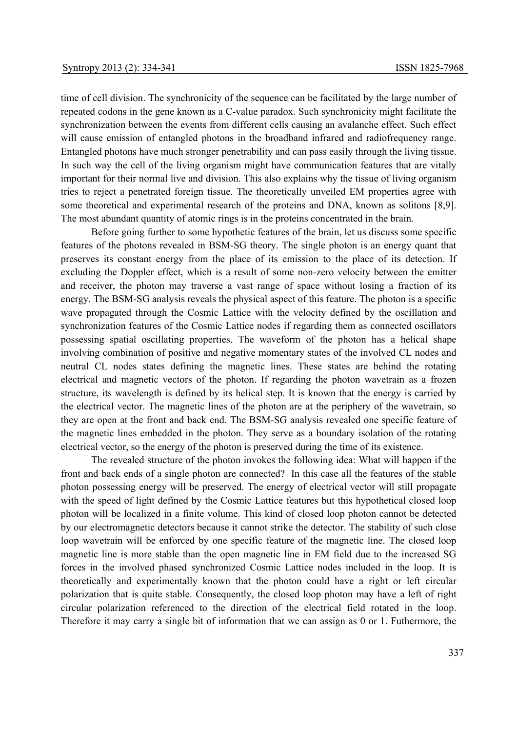time of cell division. The synchronicity of the sequence can be facilitated by the large number of repeated codons in the gene known as a C-value paradox. Such synchronicity might facilitate the synchronization between the events from different cells causing an avalanche effect. Such effect will cause emission of entangled photons in the broadband infrared and radiofrequency range. Entangled photons have much stronger penetrability and can pass easily through the living tissue. In such way the cell of the living organism might have communication features that are vitally important for their normal live and division. This also explains why the tissue of living organism tries to reject a penetrated foreign tissue. The theoretically unveiled EM properties agree with some theoretical and experimental research of the proteins and DNA, known as solitons [8,9]. The most abundant quantity of atomic rings is in the proteins concentrated in the brain.

 Before going further to some hypothetic features of the brain, let us discuss some specific features of the photons revealed in BSM-SG theory. The single photon is an energy quant that preserves its constant energy from the place of its emission to the place of its detection. If excluding the Doppler effect, which is a result of some non-zero velocity between the emitter and receiver, the photon may traverse a vast range of space without losing a fraction of its energy. The BSM-SG analysis reveals the physical aspect of this feature. The photon is a specific wave propagated through the Cosmic Lattice with the velocity defined by the oscillation and synchronization features of the Cosmic Lattice nodes if regarding them as connected oscillators possessing spatial oscillating properties. The waveform of the photon has a helical shape involving combination of positive and negative momentary states of the involved CL nodes and neutral CL nodes states defining the magnetic lines. These states are behind the rotating electrical and magnetic vectors of the photon. If regarding the photon wavetrain as a frozen structure, its wavelength is defined by its helical step. It is known that the energy is carried by the electrical vector. The magnetic lines of the photon are at the periphery of the wavetrain, so they are open at the front and back end. The BSM-SG analysis revealed one specific feature of the magnetic lines embedded in the photon. They serve as a boundary isolation of the rotating electrical vector, so the energy of the photon is preserved during the time of its existence.

 The revealed structure of the photon invokes the following idea: What will happen if the front and back ends of a single photon are connected? In this case all the features of the stable photon possessing energy will be preserved. The energy of electrical vector will still propagate with the speed of light defined by the Cosmic Lattice features but this hypothetical closed loop photon will be localized in a finite volume. This kind of closed loop photon cannot be detected by our electromagnetic detectors because it cannot strike the detector. The stability of such close loop wavetrain will be enforced by one specific feature of the magnetic line. The closed loop magnetic line is more stable than the open magnetic line in EM field due to the increased SG forces in the involved phased synchronized Cosmic Lattice nodes included in the loop. It is theoretically and experimentally known that the photon could have a right or left circular polarization that is quite stable. Consequently, the closed loop photon may have a left of right circular polarization referenced to the direction of the electrical field rotated in the loop. Therefore it may carry a single bit of information that we can assign as 0 or 1. Futhermore, the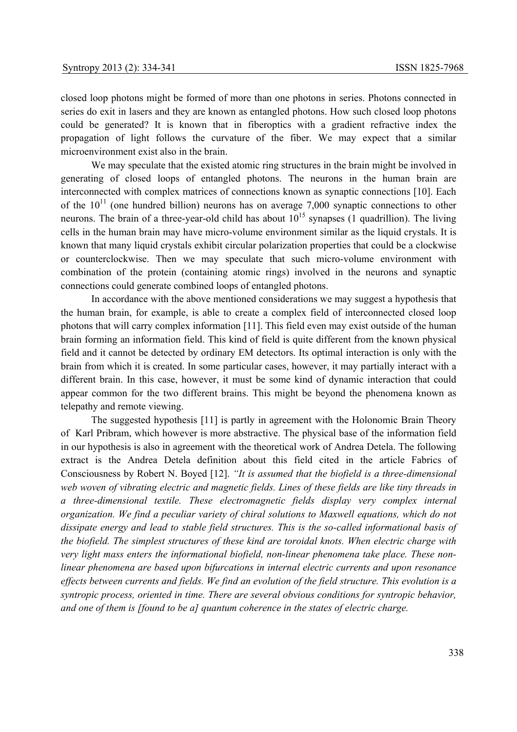closed loop photons might be formed of more than one photons in series. Photons connected in series do exit in lasers and they are known as entangled photons. How such closed loop photons could be generated? It is known that in fiberoptics with a gradient refractive index the propagation of light follows the curvature of the fiber. We may expect that a similar microenvironment exist also in the brain.

 We may speculate that the existed atomic ring structures in the brain might be involved in generating of closed loops of entangled photons. The neurons in the human brain are interconnected with complex matrices of connections known as synaptic connections [10]. Each of the  $10^{11}$  (one hundred billion) neurons has on average 7,000 synaptic connections to other neurons. The brain of a three-year-old child has about  $10^{15}$  synapses (1 quadrillion). The living cells in the human brain may have micro-volume environment similar as the liquid crystals. It is known that many liquid crystals exhibit circular polarization properties that could be a clockwise or counterclockwise. Then we may speculate that such micro-volume environment with combination of the protein (containing atomic rings) involved in the neurons and synaptic connections could generate combined loops of entangled photons.

 In accordance with the above mentioned considerations we may suggest a hypothesis that the human brain, for example, is able to create a complex field of interconnected closed loop photons that will carry complex information [11]. This field even may exist outside of the human brain forming an information field. This kind of field is quite different from the known physical field and it cannot be detected by ordinary EM detectors. Its optimal interaction is only with the brain from which it is created. In some particular cases, however, it may partially interact with a different brain. In this case, however, it must be some kind of dynamic interaction that could appear common for the two different brains. This might be beyond the phenomena known as telepathy and remote viewing.

 The suggested hypothesis [11] is partly in agreement with the Holonomic Brain Theory of Karl Pribram, which however is more abstractive. The physical base of the information field in our hypothesis is also in agreement with the theoretical work of Andrea Detela. The following extract is the Andrea Detela definition about this field cited in the article Fabrics of Consciousness by Robert N. Boyed [12]. *"It is assumed that the biofield is a three-dimensional web woven of vibrating electric and magnetic fields. Lines of these fields are like tiny threads in a three-dimensional textile. These electromagnetic fields display very complex internal organization. We find a peculiar variety of chiral solutions to Maxwell equations, which do not dissipate energy and lead to stable field structures. This is the so-called informational basis of the biofield. The simplest structures of these kind are toroidal knots. When electric charge with very light mass enters the informational biofield, non-linear phenomena take place. These nonlinear phenomena are based upon bifurcations in internal electric currents and upon resonance effects between currents and fields. We find an evolution of the field structure. This evolution is a syntropic process, oriented in time. There are several obvious conditions for syntropic behavior, and one of them is [found to be a] quantum coherence in the states of electric charge.*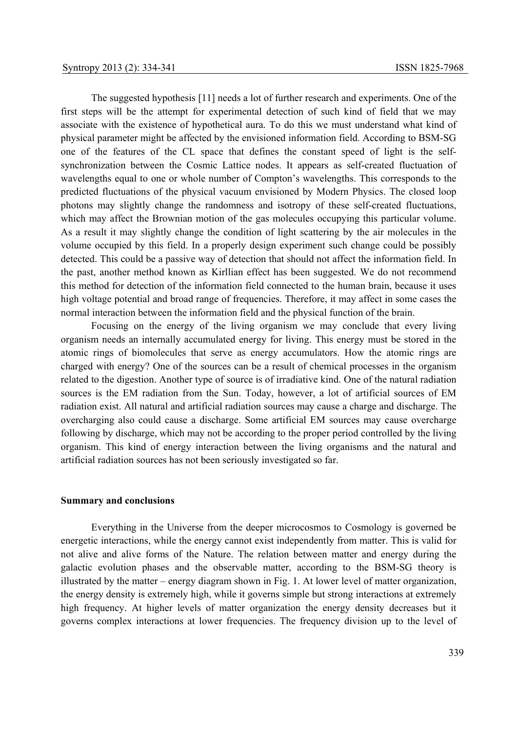The suggested hypothesis [11] needs a lot of further research and experiments. One of the first steps will be the attempt for experimental detection of such kind of field that we may associate with the existence of hypothetical aura. To do this we must understand what kind of physical parameter might be affected by the envisioned information field. According to BSM-SG one of the features of the CL space that defines the constant speed of light is the selfsynchronization between the Cosmic Lattice nodes. It appears as self-created fluctuation of wavelengths equal to one or whole number of Compton's wavelengths. This corresponds to the predicted fluctuations of the physical vacuum envisioned by Modern Physics. The closed loop photons may slightly change the randomness and isotropy of these self-created fluctuations, which may affect the Brownian motion of the gas molecules occupying this particular volume. As a result it may slightly change the condition of light scattering by the air molecules in the volume occupied by this field. In a properly design experiment such change could be possibly detected. This could be a passive way of detection that should not affect the information field. In the past, another method known as Kirllian effect has been suggested. We do not recommend this method for detection of the information field connected to the human brain, because it uses high voltage potential and broad range of frequencies. Therefore, it may affect in some cases the normal interaction between the information field and the physical function of the brain.

 Focusing on the energy of the living organism we may conclude that every living organism needs an internally accumulated energy for living. This energy must be stored in the atomic rings of biomolecules that serve as energy accumulators. How the atomic rings are charged with energy? One of the sources can be a result of chemical processes in the organism related to the digestion. Another type of source is of irradiative kind. One of the natural radiation sources is the EM radiation from the Sun. Today, however, a lot of artificial sources of EM radiation exist. All natural and artificial radiation sources may cause a charge and discharge. The overcharging also could cause a discharge. Some artificial EM sources may cause overcharge following by discharge, which may not be according to the proper period controlled by the living organism. This kind of energy interaction between the living organisms and the natural and artificial radiation sources has not been seriously investigated so far.

## **Summary and conclusions**

 Everything in the Universe from the deeper microcosmos to Cosmology is governed be energetic interactions, while the energy cannot exist independently from matter. This is valid for not alive and alive forms of the Nature. The relation between matter and energy during the galactic evolution phases and the observable matter, according to the BSM-SG theory is illustrated by the matter – energy diagram shown in Fig. 1. At lower level of matter organization, the energy density is extremely high, while it governs simple but strong interactions at extremely high frequency. At higher levels of matter organization the energy density decreases but it governs complex interactions at lower frequencies. The frequency division up to the level of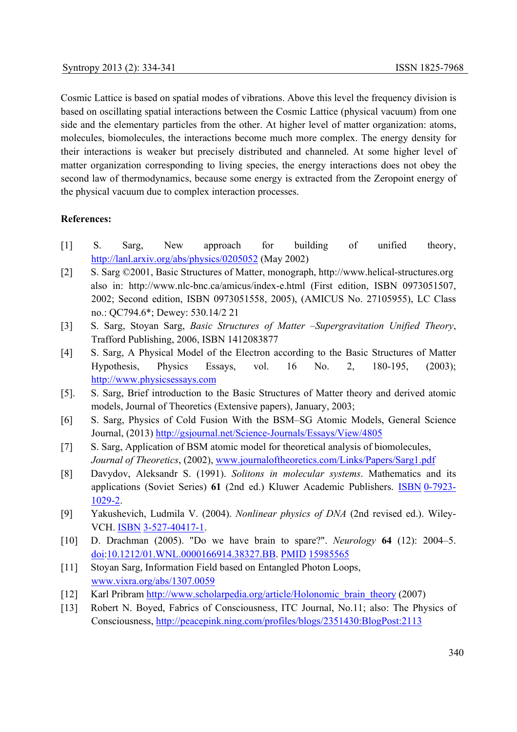Cosmic Lattice is based on spatial modes of vibrations. Above this level the frequency division is based on oscillating spatial interactions between the Cosmic Lattice (physical vacuum) from one side and the elementary particles from the other. At higher level of matter organization: atoms, molecules, biomolecules, the interactions become much more complex. The energy density for their interactions is weaker but precisely distributed and channeled. At some higher level of matter organization corresponding to living species, the energy interactions does not obey the second law of thermodynamics, because some energy is extracted from the Zeropoint energy of the physical vacuum due to complex interaction processes.

## **References:**

- [1] S. Sarg, New approach for building of unified theory, http://lanl.arxiv.org/abs/physics/0205052 (May 2002)
- [2] S. Sarg ©2001, Basic Structures of Matter, monograph, http://www.helical-structures.org also in: http://www.nlc-bnc.ca/amicus/index-e.html (First edition, ISBN 0973051507, 2002; Second edition, ISBN 0973051558, 2005), (AMICUS No. 27105955), LC Class no.: QC794.6\*; Dewey: 530.14/2 21
- [3] S. Sarg, Stoyan Sarg, *Basic Structures of Matter –Supergravitation Unified Theory*, Trafford Publishing, 2006, ISBN 1412083877
- [4] S. Sarg, A Physical Model of the Electron according to the Basic Structures of Matter Hypothesis, Physics Essays, vol. 16 No. 2, 180-195, (2003); http://www.physicsessays.com
- [5]. S. Sarg, Brief introduction to the Basic Structures of Matter theory and derived atomic models, Journal of Theoretics (Extensive papers), January, 2003;
- [6] S. Sarg, Physics of Cold Fusion With the BSM–SG Atomic Models, General Science Journal, (2013) http://gsjournal.net/Science-Journals/Essays/View/4805
- [7] S. Sarg, Application of BSM atomic model for theoretical analysis of biomolecules, *Journal of Theoretics*, (2002), www.journaloftheoretics.com/Links/Papers/Sarg1.pdf
- [8]Davydov, Aleksandr S. (1991). *Solitons in molecular systems*. Mathematics and its applications (Soviet Series) **61** (2nd ed.) Kluwer Academic Publishers. ISBN 0-7923- 1029-2.
- [9] Yakushevich, Ludmila V. (2004). *Nonlinear physics of DNA* (2nd revised ed.). Wiley-VCH. ISBN 3-527-40417-1.
- [10]D. Drachman (2005). "Do we have brain to spare?". *Neurology* **64** (12): 2004–5. doi:10.1212/01.WNL.0000166914.38327.BB. PMID 15985565
- [11] Stoyan Sarg, Information Field based on Entangled Photon Loops, www.vixra.org/abs/1307.0059
- [12] Karl Pribram http://www.scholarpedia.org/article/Holonomic\_brain\_theory (2007)
- [13] Robert N. Boyed, Fabrics of Consciousness, ITC Journal, No.11; also: The Physics of Consciousness, http://peacepink.ning.com/profiles/blogs/2351430:BlogPost:2113